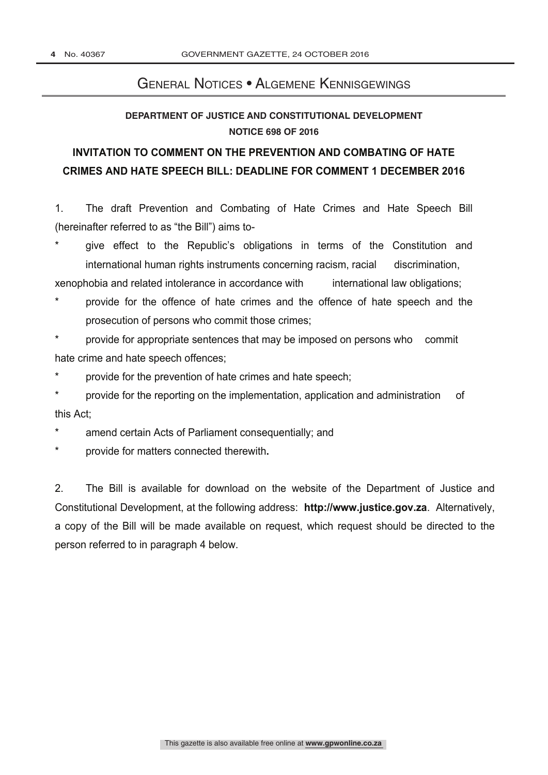#### General Notices • Algemene Kennisgewings

#### **DEPARTMENT OF JUSTICE AND CONSTITUTIONAL DEVELOPMENT NOTICE 698 OF 2016**

# **INVITATION TO COMMENT ON THE PREVENTION AND COMBATING OF HATE CRIMES AND HATE SPEECH BILL: DEADLINE FOR COMMENT 1 DECEMBER 2016**

1. The draft Prevention and Combating of Hate Crimes and Hate Speech Bill (hereinafter referred to as "the Bill") aims to-

give effect to the Republic's obligations in terms of the Constitution and international human rights instruments concerning racism, racial discrimination,

xenophobia and related intolerance in accordance with international law obligations;

- provide for the offence of hate crimes and the offence of hate speech and the prosecution of persons who commit those crimes;
- provide for appropriate sentences that may be imposed on persons who commit hate crime and hate speech offences;
- provide for the prevention of hate crimes and hate speech;

provide for the reporting on the implementation, application and administration of this Act;

- \* amend certain Acts of Parliament consequentially; and
- \* provide for matters connected therewith**.**

2. The Bill is available for download on the website of the Department of Justice and Constitutional Development, at the following address: **http://www.justice.gov.za**. Alternatively, a copy of the Bill will be made available on request, which request should be directed to the person referred to in paragraph 4 below.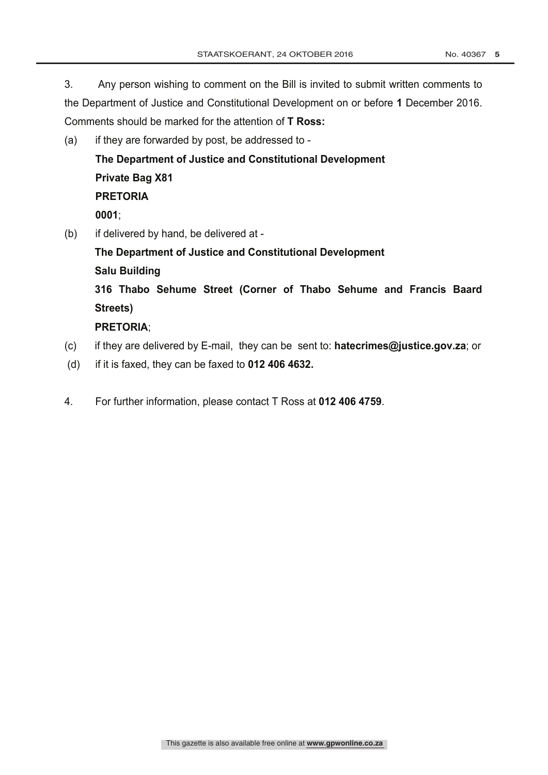3. Any person wishing to comment on the Bill is invited to submit written comments to the Department of Justice and Constitutional Development on or before **1** December 2016. Comments should be marked for the attention of **T Ross:**

(a) if they are forwarded by post, be addressed to -

**The Department of Justice and Constitutional Development Private Bag X81 PRETORIA 0001**;

(b) if delivered by hand, be delivered at -

**The Department of Justice and Constitutional Development Salu Building 316 Thabo Sehume Street (Corner of Thabo Sehume and Francis Baard Streets)**

#### **PRETORIA**;

- (c) if they are delivered by E-mail, they can be sent to: **hatecrimes@justice.gov.za**; or
- (d) if it is faxed, they can be faxed to **012 406 4632.**
- 4. For further information, please contact T Ross at **012 406 4759**.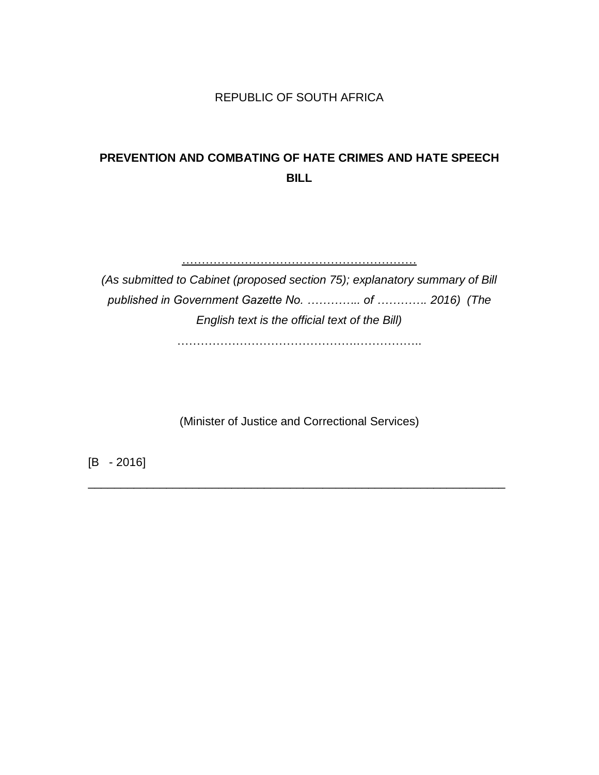#### REPUBLIC OF SOUTH AFRICA

# **PREVENTION AND COMBATING OF HATE CRIMES AND HATE SPEECH BILL**

…………………………………………………… *(As submitted to Cabinet (proposed section 75); explanatory summary of Bill published in Government Gazette No. ………….. of …………. 2016) (The English text is the official text of the Bill)*

……………………………………….……………..

(Minister of Justice and Correctional Services)

\_\_\_\_\_\_\_\_\_\_\_\_\_\_\_\_\_\_\_\_\_\_\_\_\_\_\_\_\_\_\_\_\_\_\_\_\_\_\_\_\_\_\_\_\_\_\_\_\_\_\_\_\_\_\_\_\_\_\_\_\_\_\_\_

[B - 2016]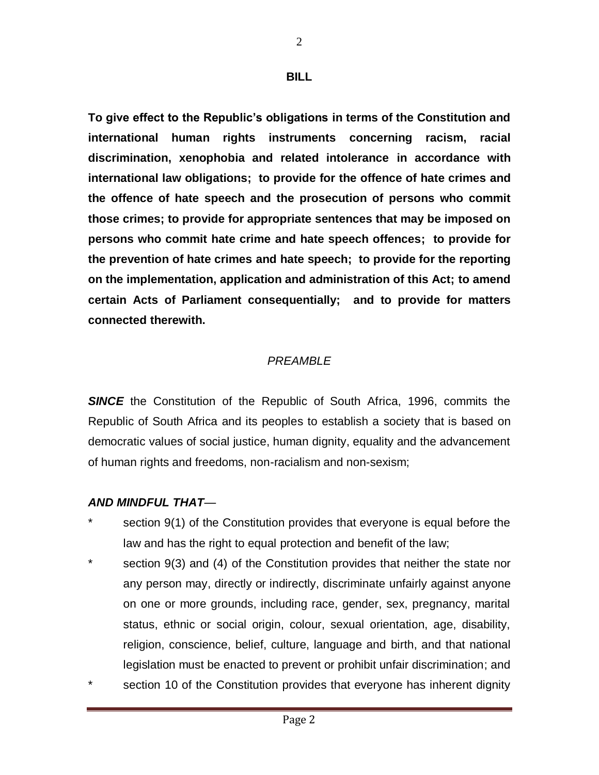#### **BILL**

**To give effect to the Republic's obligations in terms of the Constitution and international human rights instruments concerning racism, racial discrimination, xenophobia and related intolerance in accordance with international law obligations; to provide for the offence of hate crimes and the offence of hate speech and the prosecution of persons who commit those crimes; to provide for appropriate sentences that may be imposed on persons who commit hate crime and hate speech offences; to provide for the prevention of hate crimes and hate speech; to provide for the reporting on the implementation, application and administration of this Act; to amend certain Acts of Parliament consequentially; and to provide for matters connected therewith.**

# *PREAMBLE*

**SINCE** the Constitution of the Republic of South Africa, 1996, commits the Republic of South Africa and its peoples to establish a society that is based on democratic values of social justice, human dignity, equality and the advancement of human rights and freedoms, non-racialism and non-sexism;

# *AND MINDFUL THAT—*

- section 9(1) of the Constitution provides that everyone is equal before the law and has the right to equal protection and benefit of the law;
- section 9(3) and (4) of the Constitution provides that neither the state nor any person may, directly or indirectly, discriminate unfairly against anyone on one or more grounds, including race, gender, sex, pregnancy, marital status, ethnic or social origin, colour, sexual orientation, age, disability, religion, conscience, belief, culture, language and birth, and that national legislation must be enacted to prevent or prohibit unfair discrimination; and
- section 10 of the Constitution provides that everyone has inherent dignity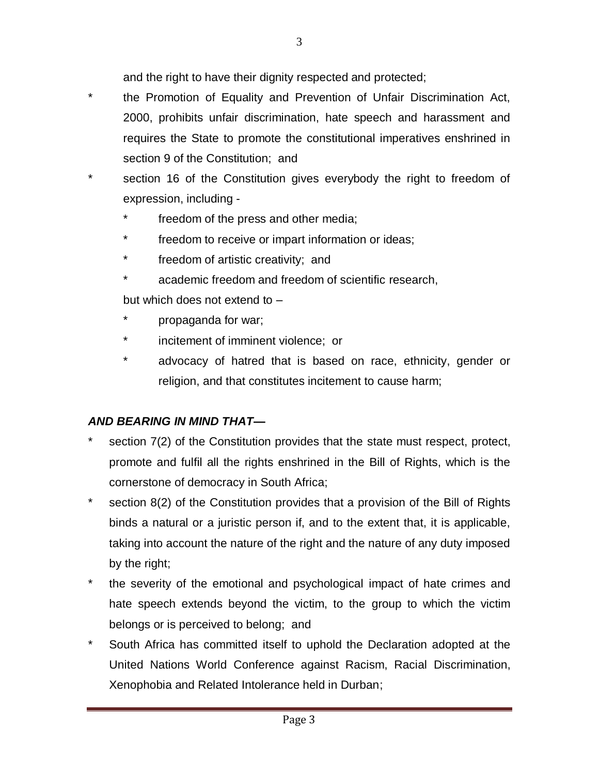and the right to have their dignity respected and protected;

- \* the Promotion of Equality and Prevention of Unfair Discrimination Act, 2000, prohibits unfair discrimination, hate speech and harassment and requires the State to promote the constitutional imperatives enshrined in section 9 of the Constitution; and
- section 16 of the Constitution gives everybody the right to freedom of expression, including
	- freedom of the press and other media;
	- freedom to receive or impart information or ideas;
	- freedom of artistic creativity; and
	- academic freedom and freedom of scientific research,

but which does not extend to –

- propaganda for war;
- incitement of imminent violence; or
- \* advocacy of hatred that is based on race, ethnicity, gender or religion, and that constitutes incitement to cause harm;

# *AND BEARING IN MIND THAT—*

- section 7(2) of the Constitution provides that the state must respect, protect, promote and fulfil all the rights enshrined in the Bill of Rights, which is the cornerstone of democracy in South Africa;
- \* section 8(2) of the Constitution provides that a provision of the Bill of Rights binds a natural or a juristic person if, and to the extent that, it is applicable, taking into account the nature of the right and the nature of any duty imposed by the right;
- the severity of the emotional and psychological impact of hate crimes and hate speech extends beyond the victim, to the group to which the victim belongs or is perceived to belong; and
- \* South Africa has committed itself to uphold the Declaration adopted at the United Nations World Conference against Racism, Racial Discrimination, Xenophobia and Related Intolerance held in Durban;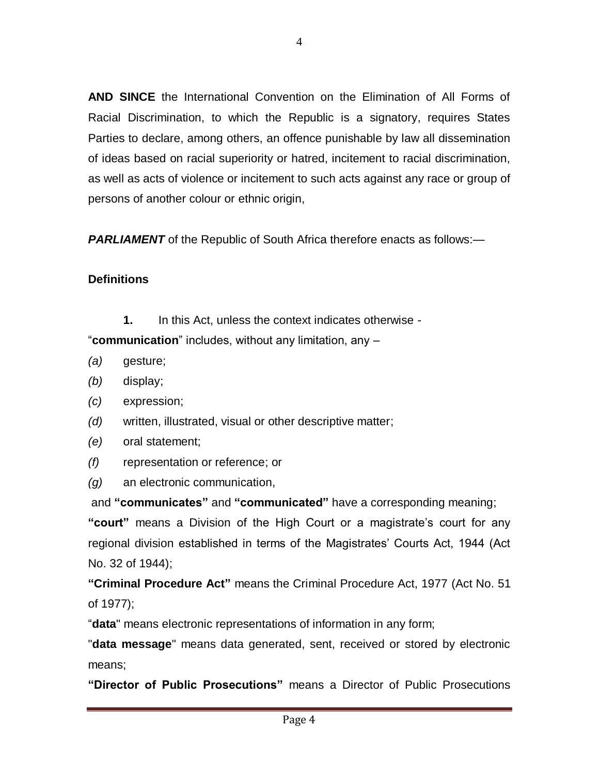**AND SINCE** the International Convention on the Elimination of All Forms of Racial Discrimination, to which the Republic is a signatory, requires States Parties to declare, among others, an offence punishable by law all dissemination of ideas based on racial superiority or hatred, incitement to racial discrimination, as well as acts of violence or incitement to such acts against any race or group of persons of another colour or ethnic origin,

*PARLIAMENT* of the Republic of South Africa therefore enacts as follows:—

### **Definitions**

**1.** In this Act, unless the context indicates otherwise -

―**communication**‖ includes, without any limitation, any –

- *(a)* gesture;
- *(b)* display;
- *(c)* expression;
- *(d)* written, illustrated, visual or other descriptive matter;
- *(e)* oral statement;
- *(f)* representation or reference; or
- *(g)* an electronic communication,

and **"communicates"** and **"communicated"** have a corresponding meaning; **"court"** means a Division of the High Court or a magistrate's court for any regional division established in terms of the Magistrates' Courts Act, 1944 (Act No. 32 of 1944);

**"Criminal Procedure Act"** means the Criminal Procedure Act, 1977 (Act No. 51 of 1977);

―**data**" means electronic representations of information in any form;

"**data message**" means data generated, sent, received or stored by electronic means;

**"Director of Public Prosecutions"** means a Director of Public Prosecutions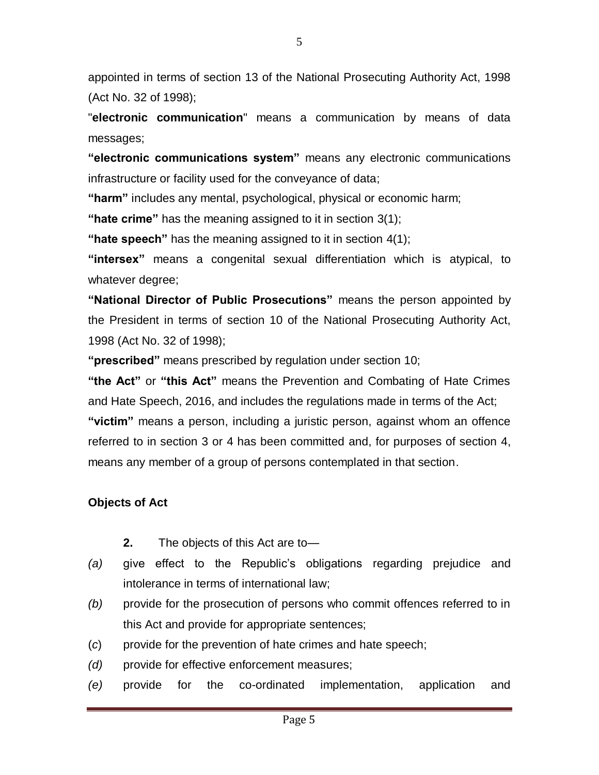appointed in terms of section 13 of the National Prosecuting Authority Act, 1998 (Act No. 32 of 1998);

"**electronic communication**" means a communication by means of data messages;

**"electronic communications system"** means any electronic communications infrastructure or facility used for the conveyance of data;

**"harm"** includes any mental, psychological, physical or economic harm;

**"hate crime"** has the meaning assigned to it in section 3(1);

**"hate speech"** has the meaning assigned to it in section 4(1);

**"intersex"** means a congenital sexual differentiation which is atypical, to whatever degree;

**"National Director of Public Prosecutions"** means the person appointed by the President in terms of section 10 of the National Prosecuting Authority Act, 1998 (Act No. 32 of 1998);

**"prescribed"** means prescribed by regulation under section 10;

**"the Act"** or **"this Act"** means the Prevention and Combating of Hate Crimes and Hate Speech, 2016, and includes the regulations made in terms of the Act; **"victim"** means a person, including a juristic person, against whom an offence referred to in section 3 or 4 has been committed and, for purposes of section 4, means any member of a group of persons contemplated in that section.

# **Objects of Act**

- **2.** The objects of this Act are to—
- *(a)* give effect to the Republic's obligations regarding prejudice and intolerance in terms of international law;
- *(b)* provide for the prosecution of persons who commit offences referred to in this Act and provide for appropriate sentences;
- (*c*) provide for the prevention of hate crimes and hate speech;
- *(d)* provide for effective enforcement measures;
- *(e)* provide for the co-ordinated implementation, application and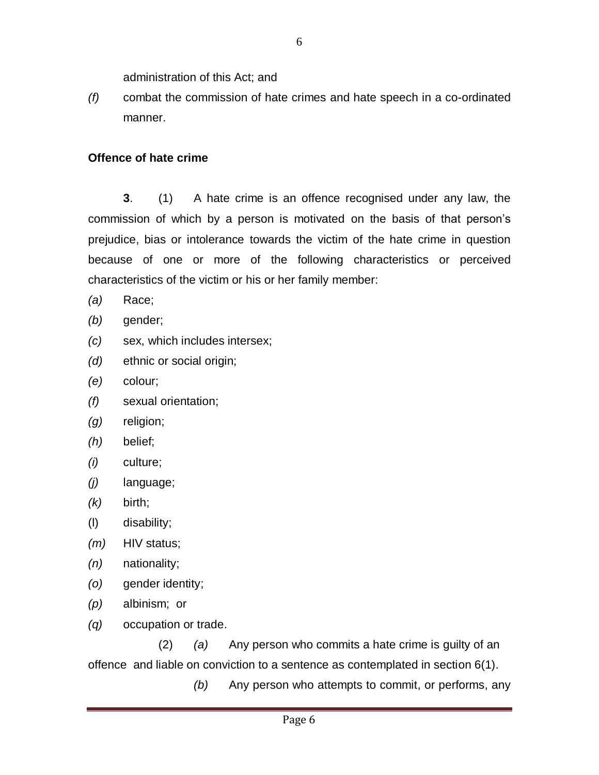administration of this Act; and

*(f)* combat the commission of hate crimes and hate speech in a co-ordinated manner.

#### **Offence of hate crime**

**3**. (1) A hate crime is an offence recognised under any law, the commission of which by a person is motivated on the basis of that person's prejudice, bias or intolerance towards the victim of the hate crime in question because of one or more of the following characteristics or perceived characteristics of the victim or his or her family member:

- *(a)* Race;
- *(b)* gender;
- *(c)* sex, which includes intersex;
- *(d)* ethnic or social origin;
- *(e)* colour;
- *(f)* sexual orientation;
- *(g)* religion;
- *(h)* belief;
- *(i)* culture;
- *(j)* language;
- *(k)* birth;
- (l) disability;
- *(m)* HIV status;
- *(n)* nationality;
- *(o)* gender identity;
- *(p)* albinism; or
- *(q)* occupation or trade.

(2) *(a)* Any person who commits a hate crime is guilty of an offence and liable on conviction to a sentence as contemplated in section 6(1).

*(b)* Any person who attempts to commit, or performs, any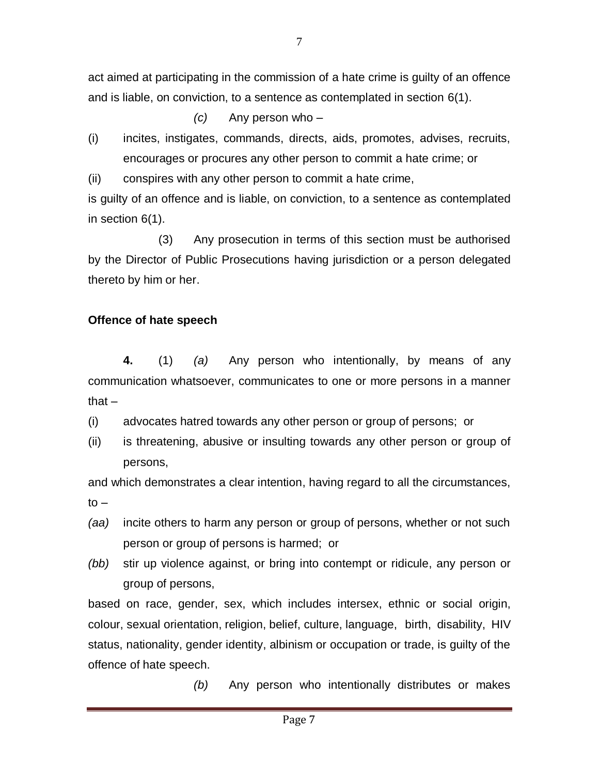act aimed at participating in the commission of a hate crime is guilty of an offence and is liable, on conviction, to a sentence as contemplated in section 6(1).

*(c)* Any person who –

(i) incites, instigates, commands, directs, aids, promotes, advises, recruits, encourages or procures any other person to commit a hate crime; or

(ii) conspires with any other person to commit a hate crime,

is guilty of an offence and is liable, on conviction, to a sentence as contemplated in section 6(1).

(3) Any prosecution in terms of this section must be authorised by the Director of Public Prosecutions having jurisdiction or a person delegated thereto by him or her.

### **Offence of hate speech**

**4.** (1) *(a)* Any person who intentionally, by means of any communication whatsoever, communicates to one or more persons in a manner that –

(i) advocates hatred towards any other person or group of persons; or

(ii) is threatening, abusive or insulting towards any other person or group of persons,

and which demonstrates a clear intention, having regard to all the circumstances,  $to -$ 

- *(aa)* incite others to harm any person or group of persons, whether or not such person or group of persons is harmed; or
- *(bb)* stir up violence against, or bring into contempt or ridicule, any person or group of persons,

based on race, gender, sex, which includes intersex, ethnic or social origin, colour, sexual orientation, religion, belief, culture, language, birth, disability, HIV status, nationality, gender identity, albinism or occupation or trade, is guilty of the offence of hate speech.

*(b)* Any person who intentionally distributes or makes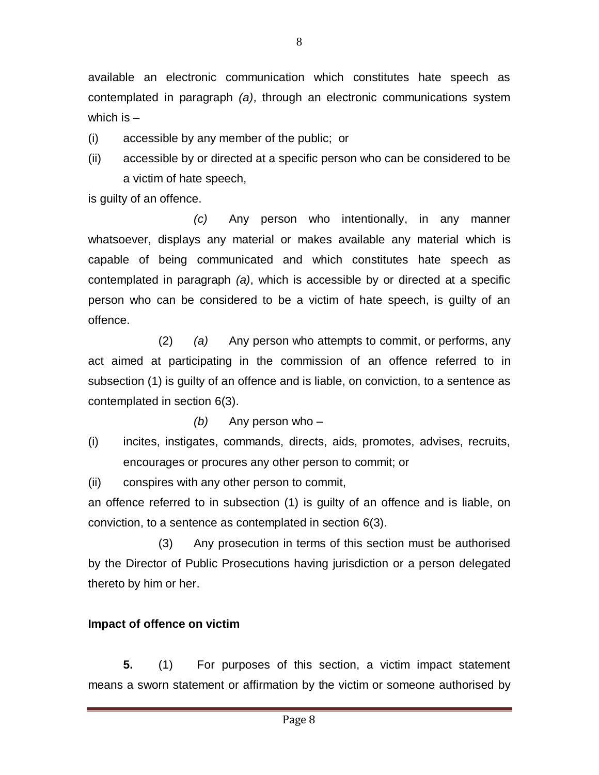available an electronic communication which constitutes hate speech as contemplated in paragraph *(a)*, through an electronic communications system which is  $-$ 

(i) accessible by any member of the public; or

(ii) accessible by or directed at a specific person who can be considered to be a victim of hate speech,

is guilty of an offence.

*(c)* Any person who intentionally, in any manner whatsoever, displays any material or makes available any material which is capable of being communicated and which constitutes hate speech as contemplated in paragraph *(a)*, which is accessible by or directed at a specific person who can be considered to be a victim of hate speech, is guilty of an offence.

(2) *(a)* Any person who attempts to commit, or performs, any act aimed at participating in the commission of an offence referred to in subsection (1) is guilty of an offence and is liable, on conviction, to a sentence as contemplated in section 6(3).

*(b)* Any person who –

(i) incites, instigates, commands, directs, aids, promotes, advises, recruits, encourages or procures any other person to commit; or

(ii) conspires with any other person to commit,

an offence referred to in subsection (1) is guilty of an offence and is liable, on conviction, to a sentence as contemplated in section 6(3).

(3) Any prosecution in terms of this section must be authorised by the Director of Public Prosecutions having jurisdiction or a person delegated thereto by him or her.

# **Impact of offence on victim**

**5.** (1) For purposes of this section, a victim impact statement means a sworn statement or affirmation by the victim or someone authorised by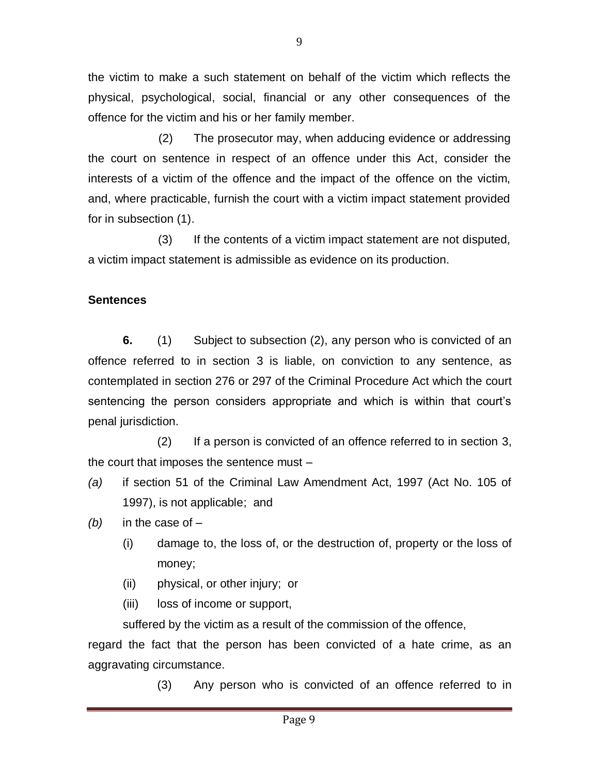the victim to make a such statement on behalf of the victim which reflects the physical, psychological, social, financial or any other consequences of the offence for the victim and his or her family member.

(2) The prosecutor may, when adducing evidence or addressing the court on sentence in respect of an offence under this Act, consider the interests of a victim of the offence and the impact of the offence on the victim, and, where practicable, furnish the court with a victim impact statement provided for in [subsection \(1\).](http://dojcdnoc-ln1/nxt/gateway.dll/jilc/kilc/egqg/2gjjb/hhjjb/7njjb?f=templates$fn=document-frame.htm$3.0$q=$x=$nc=7111#gng)

(3) If the contents of a victim impact statement are not disputed, a victim impact statement is admissible as evidence on its production.

# **Sentences**

**6.** (1) Subject to subsection (2), any person who is convicted of an offence referred to in section 3 is liable, on conviction to any sentence, as contemplated in section 276 or 297 of the Criminal Procedure Act which the court sentencing the person considers appropriate and which is within that court's penal jurisdiction.

(2) If a person is convicted of an offence referred to in section 3, the court that imposes the sentence must –

- *(a)* if section 51 of the Criminal Law Amendment Act, 1997 (Act No. 105 of 1997), is not applicable; and
- *(b)* in the case of
	- (i) damage to, the loss of, or the destruction of, property or the loss of money;
	- (ii) physical, or other injury; or
	- (iii) loss of income or support,

suffered by the victim as a result of the commission of the offence,

regard the fact that the person has been convicted of a hate crime, as an aggravating circumstance.

(3) Any person who is convicted of an offence referred to in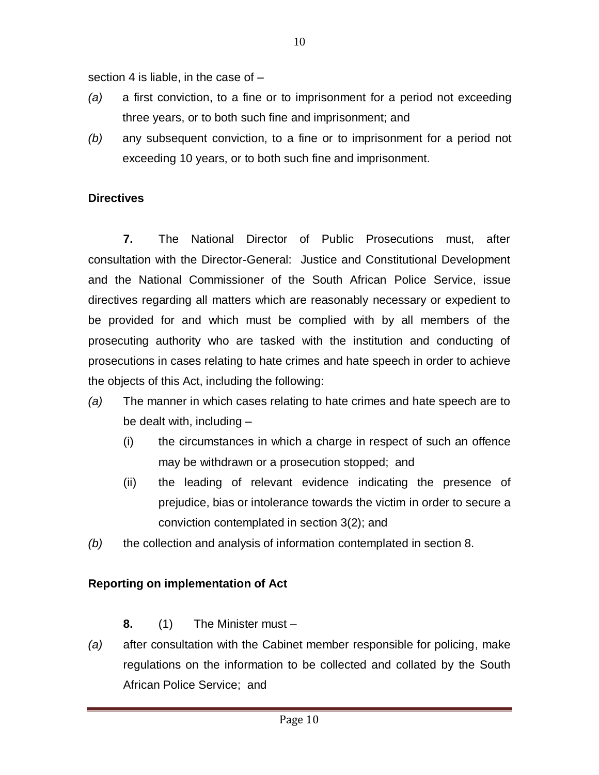section 4 is liable, in the case of –

- *(a)* a first conviction, to a fine or to imprisonment for a period not exceeding three years, or to both such fine and imprisonment; and
- *(b)* any subsequent conviction, to a fine or to imprisonment for a period not exceeding 10 years, or to both such fine and imprisonment.

# **Directives**

**7.** The National Director of Public Prosecutions must, after consultation with the Director-General: Justice and Constitutional Development and the National Commissioner of the South African Police Service, issue directives regarding all matters which are reasonably necessary or expedient to be provided for and which must be complied with by all members of the prosecuting authority who are tasked with the institution and conducting of prosecutions in cases relating to hate crimes and hate speech in order to achieve the objects of this Act, including the following:

- *(a)* The manner in which cases relating to hate crimes and hate speech are to be dealt with, including –
	- (i) the circumstances in which a charge in respect of such an offence may be withdrawn or a prosecution stopped; and
	- (ii) the leading of relevant evidence indicating the presence of prejudice, bias or intolerance towards the victim in order to secure a conviction contemplated in section 3(2); and
- *(b)* the collection and analysis of information contemplated in section 8.

# **Reporting on implementation of Act**

# **8.** (1) The Minister must –

*(a)* after consultation with the Cabinet member responsible for policing, make regulations on the information to be collected and collated by the South African Police Service; and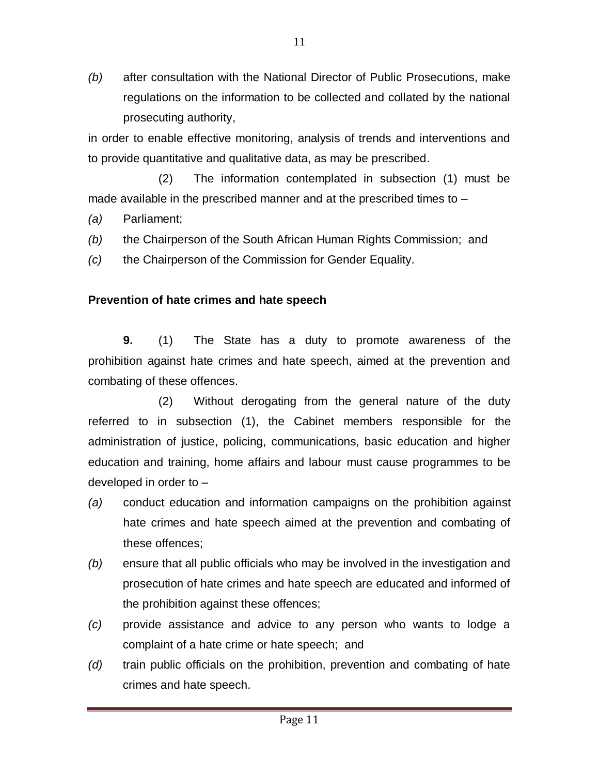*(b)* after consultation with the National Director of Public Prosecutions, make regulations on the information to be collected and collated by the national prosecuting authority,

in order to enable effective monitoring, analysis of trends and interventions and to provide quantitative and qualitative data, as may be prescribed.

(2) The information contemplated in subsection (1) must be made available in the prescribed manner and at the prescribed times to –

- *(a)* Parliament;
- *(b)* the Chairperson of the South African Human Rights Commission; and
- *(c)* the Chairperson of the Commission for Gender Equality.

### **Prevention of hate crimes and hate speech**

**9.** (1) The State has a duty to promote awareness of the prohibition against hate crimes and hate speech, aimed at the prevention and combating of these offences.

(2) Without derogating from the general nature of the duty referred to in subsection (1), the Cabinet members responsible for the administration of justice, policing, communications, basic education and higher education and training, home affairs and labour must cause programmes to be developed in order to –

- *(a)* conduct education and information campaigns on the prohibition against hate crimes and hate speech aimed at the prevention and combating of these offences;
- *(b)* ensure that all public officials who may be involved in the investigation and prosecution of hate crimes and hate speech are educated and informed of the prohibition against these offences;
- *(c)* provide assistance and advice to any person who wants to lodge a complaint of a hate crime or hate speech; and
- *(d)* train public officials on the prohibition, prevention and combating of hate crimes and hate speech.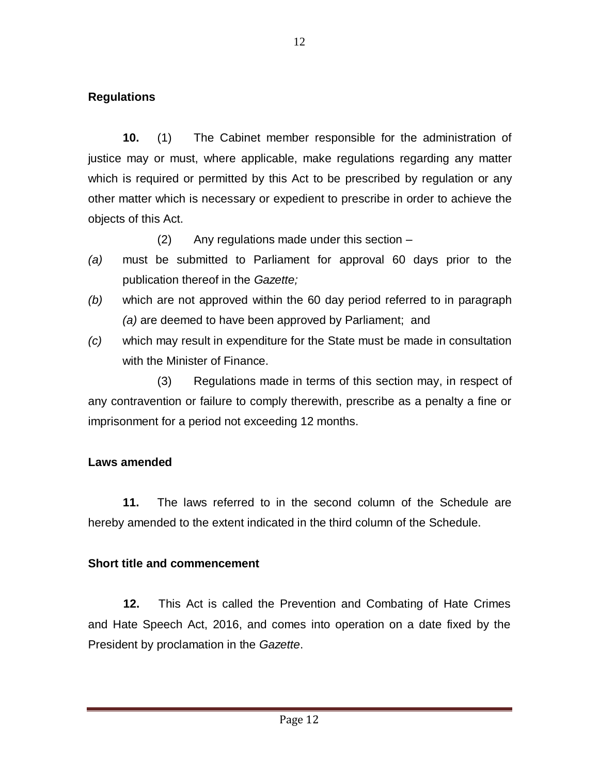### **Regulations**

**10.** (1) The Cabinet member responsible for the administration of justice may or must, where applicable, make regulations regarding any matter which is required or permitted by this Act to be prescribed by regulation or any other matter which is necessary or expedient to prescribe in order to achieve the objects of this Act.

(2) Any regulations made under this section –

- *(a)* must be submitted to Parliament for approval 60 days prior to the publication thereof in the *Gazette;*
- *(b)* which are not approved within the 60 day period referred to in paragraph *(a)* are deemed to have been approved by Parliament; and
- *(c)* which may result in expenditure for the State must be made in consultation with the Minister of Finance.

(3) Regulations made in terms of this section may, in respect of any contravention or failure to comply therewith, prescribe as a penalty a fine or imprisonment for a period not exceeding 12 months.

### **Laws amended**

**11.** The laws referred to in the second column of the Schedule are hereby amended to the extent indicated in the third column of the Schedule.

#### **Short title and commencement**

**12.** This Act is called the Prevention and Combating of Hate Crimes and Hate Speech Act, 2016, and comes into operation on a date fixed by the President by proclamation in the *Gazette*.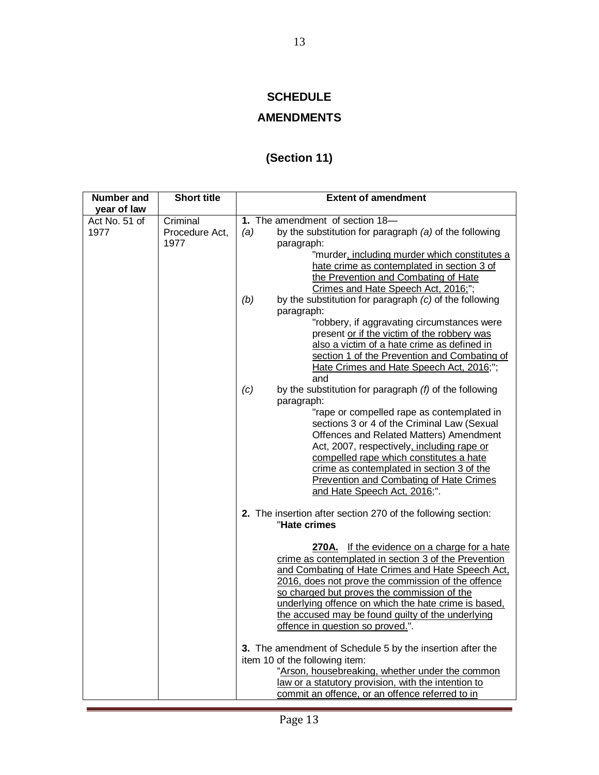### **SCHEDULE**

# **AMENDMENTS**

# **(Section 11)**

| <b>Number and</b><br>year of law | <b>Short title</b>     | <b>Extent of amendment</b>                                                                                                          |
|----------------------------------|------------------------|-------------------------------------------------------------------------------------------------------------------------------------|
|                                  | Criminal               | 1. The amendment of section 18-                                                                                                     |
| Act No. 51 of<br>1977            | Procedure Act,<br>1977 | (a)<br>by the substitution for paragraph $(a)$ of the following<br>paragraph:                                                       |
|                                  |                        | "murder, including murder which constitutes a<br>hate crime as contemplated in section 3 of<br>the Prevention and Combating of Hate |
|                                  |                        | Crimes and Hate Speech Act, 2016;";                                                                                                 |
|                                  |                        | by the substitution for paragraph (c) of the following<br>(b)<br>paragraph:                                                         |
|                                  |                        | "robbery, if aggravating circumstances were<br>present or if the victim of the robbery was                                          |
|                                  |                        | also a victim of a hate crime as defined in<br>section 1 of the Prevention and Combating of                                         |
|                                  |                        | Hate Crimes and Hate Speech Act, 2016;";<br>and                                                                                     |
|                                  |                        | by the substitution for paragraph $(f)$ of the following<br>(c)                                                                     |
|                                  |                        | paragraph:                                                                                                                          |
|                                  |                        | "rape or compelled rape as contemplated in                                                                                          |
|                                  |                        | sections 3 or 4 of the Criminal Law (Sexual<br>Offences and Related Matters) Amendment                                              |
|                                  |                        | Act, 2007, respectively, including rape or                                                                                          |
|                                  |                        | compelled rape which constitutes a hate                                                                                             |
|                                  |                        | crime as contemplated in section 3 of the                                                                                           |
|                                  |                        | Prevention and Combating of Hate Crimes<br>and Hate Speech Act, 2016;".                                                             |
|                                  |                        | 2. The insertion after section 270 of the following section:<br>"Hate crimes                                                        |
|                                  |                        | 270A. If the evidence on a charge for a hate<br>crime as contemplated in section 3 of the Prevention                                |
|                                  |                        | and Combating of Hate Crimes and Hate Speech Act,<br>2016, does not prove the commission of the offence                             |
|                                  |                        | so charged but proves the commission of the<br>underlying offence on which the hate crime is based,                                 |
|                                  |                        | the accused may be found guilty of the underlying<br>offence in question so proved.".                                               |
|                                  |                        | 3. The amendment of Schedule 5 by the insertion after the<br>item 10 of the following item:                                         |
|                                  |                        | "Arson, housebreaking, whether under the common                                                                                     |
|                                  |                        | law or a statutory provision, with the intention to                                                                                 |
|                                  |                        | commit an offence, or an offence referred to in                                                                                     |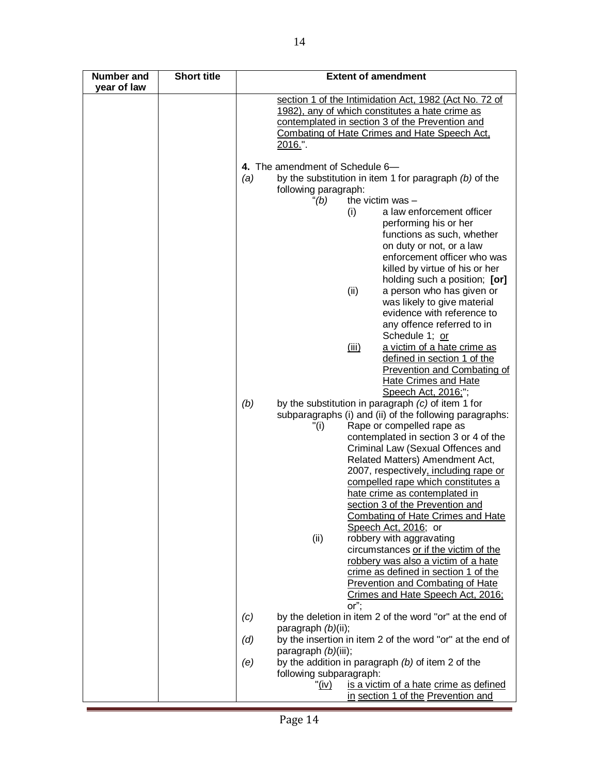| Number and<br>year of law | <b>Short title</b> | <b>Extent of amendment</b>                                                            |
|---------------------------|--------------------|---------------------------------------------------------------------------------------|
|                           |                    | section 1 of the Intimidation Act, 1982 (Act No. 72 of                                |
|                           |                    | 1982), any of which constitutes a hate crime as                                       |
|                           |                    | contemplated in section 3 of the Prevention and                                       |
|                           |                    | Combating of Hate Crimes and Hate Speech Act,                                         |
|                           |                    | <u>2016."</u>                                                                         |
|                           |                    | 4. The amendment of Schedule 6-                                                       |
|                           |                    | by the substitution in item 1 for paragraph $(b)$ of the<br>(a)                       |
|                           |                    | following paragraph:                                                                  |
|                           |                    | the victim was -<br>"(b)                                                              |
|                           |                    | a law enforcement officer<br>(i)                                                      |
|                           |                    | performing his or her<br>functions as such, whether                                   |
|                           |                    | on duty or not, or a law                                                              |
|                           |                    | enforcement officer who was                                                           |
|                           |                    | killed by virtue of his or her                                                        |
|                           |                    | holding such a position; [or]                                                         |
|                           |                    | (ii)<br>a person who has given or                                                     |
|                           |                    | was likely to give material                                                           |
|                           |                    | evidence with reference to                                                            |
|                           |                    | any offence referred to in                                                            |
|                           |                    | Schedule 1; or                                                                        |
|                           |                    | (iii)<br>a victim of a hate crime as<br>defined in section 1 of the                   |
|                           |                    | <b>Prevention and Combating of</b>                                                    |
|                           |                    | <b>Hate Crimes and Hate</b>                                                           |
|                           |                    | Speech Act, 2016;";                                                                   |
|                           |                    | (b)<br>by the substitution in paragraph $(c)$ of item 1 for                           |
|                           |                    | subparagraphs (i) and (ii) of the following paragraphs:                               |
|                           |                    | Rape or compelled rape as<br>"(i)                                                     |
|                           |                    | contemplated in section 3 or 4 of the<br>Criminal Law (Sexual Offences and            |
|                           |                    | Related Matters) Amendment Act,                                                       |
|                           |                    | 2007, respectively, including rape or                                                 |
|                           |                    | compelled rape which constitutes a                                                    |
|                           |                    | hate crime as contemplated in                                                         |
|                           |                    | section 3 of the Prevention and                                                       |
|                           |                    | <b>Combating of Hate Crimes and Hate</b>                                              |
|                           |                    | Speech Act, 2016; or<br>robbery with aggravating<br>(ii)                              |
|                           |                    | circumstances or if the victim of the                                                 |
|                           |                    | robbery was also a victim of a hate                                                   |
|                           |                    | crime as defined in section 1 of the                                                  |
|                           |                    | <b>Prevention and Combating of Hate</b>                                               |
|                           |                    | Crimes and Hate Speech Act, 2016;<br>or";                                             |
|                           |                    | by the deletion in item 2 of the word "or" at the end of<br>(c)<br>paragraph (b)(ii); |
|                           |                    | by the insertion in item 2 of the word "or" at the end of<br>(d)                      |
|                           |                    | paragraph (b)(iii);                                                                   |
|                           |                    | by the addition in paragraph $(b)$ of item 2 of the<br>(e)                            |
|                           |                    | following subparagraph:                                                               |
|                           |                    | " <u>(iv)</u><br>is a victim of a hate crime as defined                               |
|                           |                    | in section 1 of the Prevention and                                                    |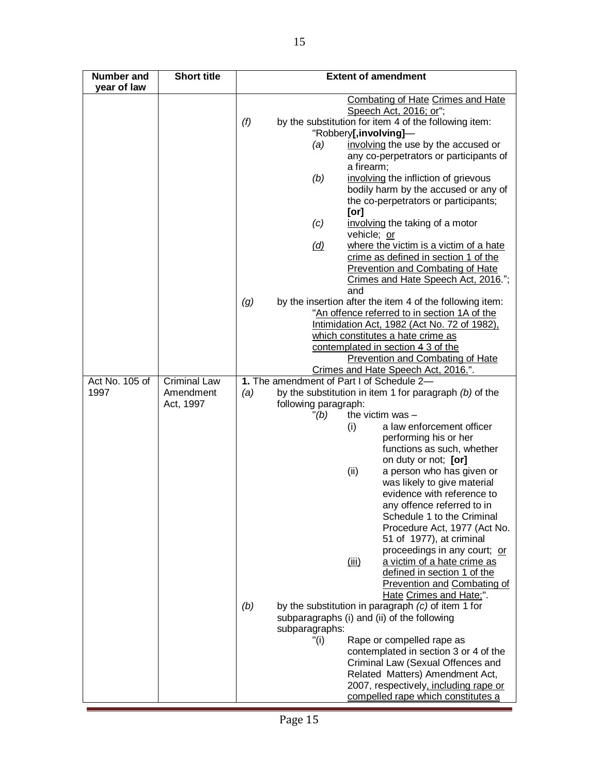| Number and<br>year of law | <b>Short title</b>  | <b>Extent of amendment</b>                                      |
|---------------------------|---------------------|-----------------------------------------------------------------|
|                           |                     | <b>Combating of Hate Crimes and Hate</b>                        |
|                           |                     | Speech Act, 2016; or";                                          |
|                           |                     | (f)<br>by the substitution for item 4 of the following item:    |
|                           |                     | "Robbery[,involving]-                                           |
|                           |                     | involving the use by the accused or<br>(a)                      |
|                           |                     | any co-perpetrators or participants of                          |
|                           |                     | a firearm;                                                      |
|                           |                     | (b)<br>involving the infliction of grievous                     |
|                           |                     | bodily harm by the accused or any of                            |
|                           |                     | the co-perpetrators or participants;                            |
|                           |                     | [or]                                                            |
|                           |                     | (c)<br>involving the taking of a motor                          |
|                           |                     | vehicle; or                                                     |
|                           |                     | where the victim is a victim of a hate<br>(d)                   |
|                           |                     | crime as defined in section 1 of the                            |
|                           |                     | <b>Prevention and Combating of Hate</b>                         |
|                           |                     | Crimes and Hate Speech Act, 2016.";                             |
|                           |                     | and                                                             |
|                           |                     | by the insertion after the item 4 of the following item:<br>(g) |
|                           |                     | "An offence referred to in section 1A of the                    |
|                           |                     | Intimidation Act, 1982 (Act No. 72 of 1982).                    |
|                           |                     | which constitutes a hate crime as                               |
|                           |                     | contemplated in section 4 3 of the                              |
|                           |                     | Prevention and Combating of Hate                                |
|                           |                     | Crimes and Hate Speech Act, 2016.".                             |
| Act No. 105 of            | <b>Criminal Law</b> | 1. The amendment of Part I of Schedule 2-                       |
| 1997                      | Amendment           | by the substitution in item 1 for paragraph $(b)$ of the<br>(a) |
|                           | Act, 1997           | following paragraph:                                            |
|                           |                     | the victim was -<br>" (b)                                       |
|                           |                     | a law enforcement officer<br>(i)<br>performing his or her       |
|                           |                     | functions as such, whether                                      |
|                           |                     | on duty or not; [or]                                            |
|                           |                     | (ii)<br>a person who has given or                               |
|                           |                     | was likely to give material                                     |
|                           |                     | evidence with reference to                                      |
|                           |                     | any offence referred to in                                      |
|                           |                     | Schedule 1 to the Criminal                                      |
|                           |                     | Procedure Act, 1977 (Act No.                                    |
|                           |                     | 51 of 1977), at criminal                                        |
|                           |                     | proceedings in any court; or                                    |
|                           |                     | a victim of a hate crime as<br><u>(iii)</u>                     |
|                           |                     | defined in section 1 of the                                     |
|                           |                     | <b>Prevention and Combating of</b>                              |
|                           |                     | Hate Crimes and Hate;".                                         |
|                           |                     | (b)<br>by the substitution in paragraph $(c)$ of item 1 for     |
|                           |                     | subparagraphs (i) and (ii) of the following                     |
|                           |                     | subparagraphs:                                                  |
|                           |                     | "(i)<br>Rape or compelled rape as                               |
|                           |                     | contemplated in section 3 or 4 of the                           |
|                           |                     | Criminal Law (Sexual Offences and                               |
|                           |                     | Related Matters) Amendment Act,                                 |
|                           |                     | 2007, respectively, including rape or                           |
|                           |                     | compelled rape which constitutes a                              |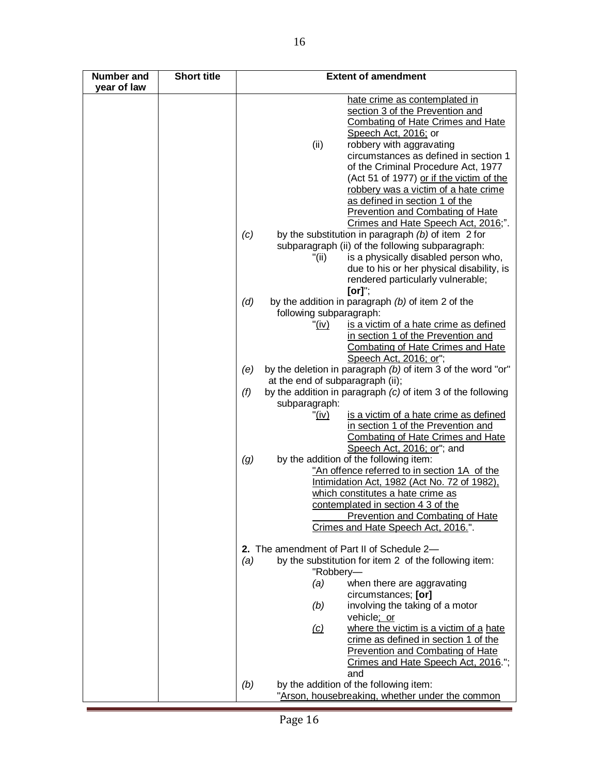| Number and<br>year of law | <b>Short title</b> | <b>Extent of amendment</b>                                                                             |
|---------------------------|--------------------|--------------------------------------------------------------------------------------------------------|
|                           |                    | hate crime as contemplated in                                                                          |
|                           |                    | section 3 of the Prevention and                                                                        |
|                           |                    | <b>Combating of Hate Crimes and Hate</b>                                                               |
|                           |                    | Speech Act, 2016; or                                                                                   |
|                           |                    | (ii)<br>robbery with aggravating                                                                       |
|                           |                    | circumstances as defined in section 1                                                                  |
|                           |                    | of the Criminal Procedure Act, 1977                                                                    |
|                           |                    | (Act 51 of 1977) or if the victim of the                                                               |
|                           |                    | robbery was a victim of a hate crime                                                                   |
|                           |                    | as defined in section 1 of the                                                                         |
|                           |                    | <b>Prevention and Combating of Hate</b>                                                                |
|                           |                    | Crimes and Hate Speech Act, 2016;".                                                                    |
|                           |                    | by the substitution in paragraph (b) of item 2 for<br>(c)                                              |
|                           |                    | subparagraph (ii) of the following subparagraph:                                                       |
|                           |                    | is a physically disabled person who,<br>"(ii)                                                          |
|                           |                    | due to his or her physical disability, is                                                              |
|                           |                    | rendered particularly vulnerable;                                                                      |
|                           |                    | [or]";                                                                                                 |
|                           |                    | (d)<br>by the addition in paragraph $(b)$ of item 2 of the                                             |
|                           |                    | following subparagraph:                                                                                |
|                           |                    | is a victim of a hate crime as defined<br>"(iv)                                                        |
|                           |                    | in section 1 of the Prevention and                                                                     |
|                           |                    | Combating of Hate Crimes and Hate                                                                      |
|                           |                    | Speech Act, 2016; or";                                                                                 |
|                           |                    | by the deletion in paragraph (b) of item 3 of the word "or"<br>(e)<br>at the end of subparagraph (ii); |
|                           |                    | by the addition in paragraph (c) of item 3 of the following<br>(f)                                     |
|                           |                    | subparagraph:                                                                                          |
|                           |                    | is a victim of a hate crime as defined<br>" <u>(iv)</u>                                                |
|                           |                    | in section 1 of the Prevention and                                                                     |
|                           |                    | <b>Combating of Hate Crimes and Hate</b>                                                               |
|                           |                    | Speech Act, 2016; or"; and                                                                             |
|                           |                    | by the addition of the following item:<br>(g)                                                          |
|                           |                    | "An offence referred to in section 1A of the                                                           |
|                           |                    | Intimidation Act, 1982 (Act No. 72 of 1982),                                                           |
|                           |                    | which constitutes a hate crime as                                                                      |
|                           |                    | contemplated in section 4.3 of the                                                                     |
|                           |                    | Prevention and Combating of Hate                                                                       |
|                           |                    | Crimes and Hate Speech Act, 2016.".                                                                    |
|                           |                    | 2. The amendment of Part II of Schedule 2-                                                             |
|                           |                    | by the substitution for item 2 of the following item:<br>(a)                                           |
|                           |                    | "Robbery-                                                                                              |
|                           |                    | when there are aggravating<br>(a)                                                                      |
|                           |                    | circumstances; [or]                                                                                    |
|                           |                    | involving the taking of a motor<br>(b)                                                                 |
|                           |                    | vehicle; or                                                                                            |
|                           |                    | where the victim is a victim of a hate<br>$\omega$                                                     |
|                           |                    | crime as defined in section 1 of the                                                                   |
|                           |                    | <b>Prevention and Combating of Hate</b>                                                                |
|                           |                    | Crimes and Hate Speech Act, 2016.";                                                                    |
|                           |                    | and                                                                                                    |
|                           |                    | by the addition of the following item:<br>(b)                                                          |
|                           |                    | "Arson, housebreaking, whether under the common                                                        |